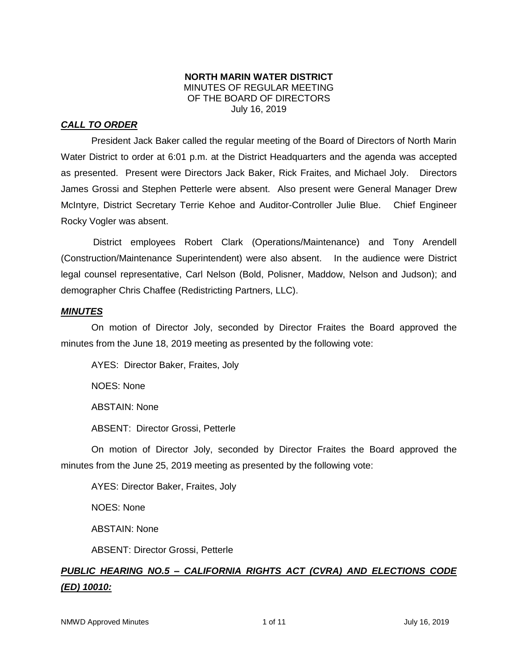# **NORTH MARIN WATER DISTRICT** MINUTES OF REGULAR MEETING OF THE BOARD OF DIRECTORS July 16, 2019

# *CALL TO ORDER*

President Jack Baker called the regular meeting of the Board of Directors of North Marin Water District to order at 6:01 p.m. at the District Headquarters and the agenda was accepted as presented. Present were Directors Jack Baker, Rick Fraites, and Michael Joly. Directors James Grossi and Stephen Petterle were absent. Also present were General Manager Drew McIntyre, District Secretary Terrie Kehoe and Auditor-Controller Julie Blue. Chief Engineer Rocky Vogler was absent.

District employees Robert Clark (Operations/Maintenance) and Tony Arendell (Construction/Maintenance Superintendent) were also absent. In the audience were District legal counsel representative, Carl Nelson (Bold, Polisner, Maddow, Nelson and Judson); and demographer Chris Chaffee (Redistricting Partners, LLC).

# *MINUTES*

On motion of Director Joly, seconded by Director Fraites the Board approved the minutes from the June 18, 2019 meeting as presented by the following vote:

AYES: Director Baker, Fraites, Joly NOES: None ABSTAIN: None ABSENT: Director Grossi, Petterle

On motion of Director Joly, seconded by Director Fraites the Board approved the minutes from the June 25, 2019 meeting as presented by the following vote:

AYES: Director Baker, Fraites, Joly

NOES: None

ABSTAIN: None

ABSENT: Director Grossi, Petterle

# *PUBLIC HEARING NO.5 – CALIFORNIA RIGHTS ACT (CVRA) AND ELECTIONS CODE (ED) 10010:*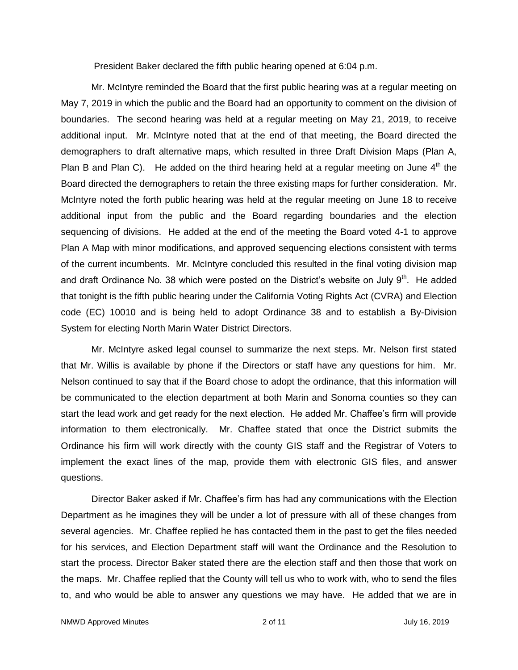President Baker declared the fifth public hearing opened at 6:04 p.m.

Mr. McIntyre reminded the Board that the first public hearing was at a regular meeting on May 7, 2019 in which the public and the Board had an opportunity to comment on the division of boundaries. The second hearing was held at a regular meeting on May 21, 2019, to receive additional input. Mr. McIntyre noted that at the end of that meeting, the Board directed the demographers to draft alternative maps, which resulted in three Draft Division Maps (Plan A, Plan B and Plan C). He added on the third hearing held at a regular meeting on June  $4<sup>th</sup>$  the Board directed the demographers to retain the three existing maps for further consideration. Mr. McIntyre noted the forth public hearing was held at the regular meeting on June 18 to receive additional input from the public and the Board regarding boundaries and the election sequencing of divisions. He added at the end of the meeting the Board voted 4-1 to approve Plan A Map with minor modifications, and approved sequencing elections consistent with terms of the current incumbents. Mr. McIntyre concluded this resulted in the final voting division map and draft Ordinance No. 38 which were posted on the District's website on July  $9<sup>th</sup>$ . He added that tonight is the fifth public hearing under the California Voting Rights Act (CVRA) and Election code (EC) 10010 and is being held to adopt Ordinance 38 and to establish a By-Division System for electing North Marin Water District Directors.

Mr. McIntyre asked legal counsel to summarize the next steps. Mr. Nelson first stated that Mr. Willis is available by phone if the Directors or staff have any questions for him. Mr. Nelson continued to say that if the Board chose to adopt the ordinance, that this information will be communicated to the election department at both Marin and Sonoma counties so they can start the lead work and get ready for the next election. He added Mr. Chaffee's firm will provide information to them electronically. Mr. Chaffee stated that once the District submits the Ordinance his firm will work directly with the county GIS staff and the Registrar of Voters to implement the exact lines of the map, provide them with electronic GIS files, and answer questions.

Director Baker asked if Mr. Chaffee's firm has had any communications with the Election Department as he imagines they will be under a lot of pressure with all of these changes from several agencies. Mr. Chaffee replied he has contacted them in the past to get the files needed for his services, and Election Department staff will want the Ordinance and the Resolution to start the process. Director Baker stated there are the election staff and then those that work on the maps. Mr. Chaffee replied that the County will tell us who to work with, who to send the files to, and who would be able to answer any questions we may have. He added that we are in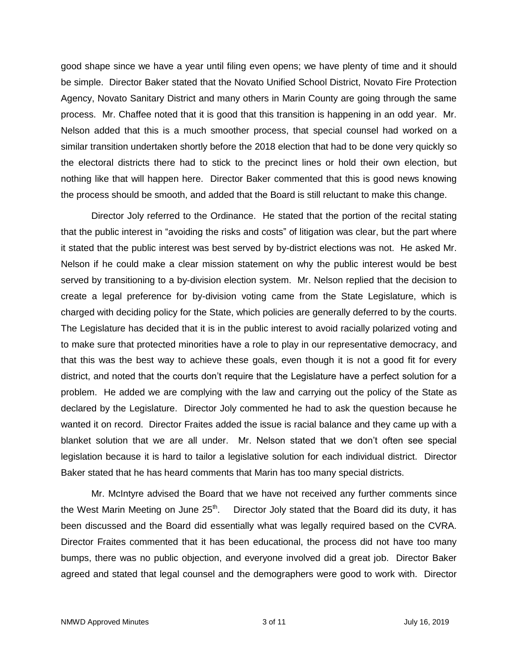good shape since we have a year until filing even opens; we have plenty of time and it should be simple. Director Baker stated that the Novato Unified School District, Novato Fire Protection Agency, Novato Sanitary District and many others in Marin County are going through the same process. Mr. Chaffee noted that it is good that this transition is happening in an odd year. Mr. Nelson added that this is a much smoother process, that special counsel had worked on a similar transition undertaken shortly before the 2018 election that had to be done very quickly so the electoral districts there had to stick to the precinct lines or hold their own election, but nothing like that will happen here. Director Baker commented that this is good news knowing the process should be smooth, and added that the Board is still reluctant to make this change.

Director Joly referred to the Ordinance. He stated that the portion of the recital stating that the public interest in "avoiding the risks and costs" of litigation was clear, but the part where it stated that the public interest was best served by by-district elections was not. He asked Mr. Nelson if he could make a clear mission statement on why the public interest would be best served by transitioning to a by-division election system. Mr. Nelson replied that the decision to create a legal preference for by-division voting came from the State Legislature, which is charged with deciding policy for the State, which policies are generally deferred to by the courts. The Legislature has decided that it is in the public interest to avoid racially polarized voting and to make sure that protected minorities have a role to play in our representative democracy, and that this was the best way to achieve these goals, even though it is not a good fit for every district, and noted that the courts don't require that the Legislature have a perfect solution for a problem. He added we are complying with the law and carrying out the policy of the State as declared by the Legislature. Director Joly commented he had to ask the question because he wanted it on record. Director Fraites added the issue is racial balance and they came up with a blanket solution that we are all under. Mr. Nelson stated that we don't often see special legislation because it is hard to tailor a legislative solution for each individual district. Director Baker stated that he has heard comments that Marin has too many special districts.

Mr. McIntyre advised the Board that we have not received any further comments since the West Marin Meeting on June  $25<sup>th</sup>$ . Director Joly stated that the Board did its duty, it has been discussed and the Board did essentially what was legally required based on the CVRA. Director Fraites commented that it has been educational, the process did not have too many bumps, there was no public objection, and everyone involved did a great job. Director Baker agreed and stated that legal counsel and the demographers were good to work with. Director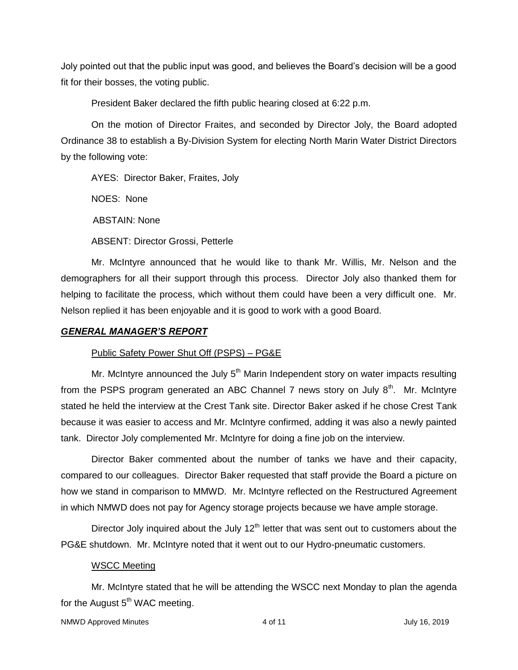Joly pointed out that the public input was good, and believes the Board's decision will be a good fit for their bosses, the voting public.

President Baker declared the fifth public hearing closed at 6:22 p.m.

On the motion of Director Fraites, and seconded by Director Joly, the Board adopted Ordinance 38 to establish a By-Division System for electing North Marin Water District Directors by the following vote:

AYES: Director Baker, Fraites, Joly

NOES: None

ABSTAIN: None

ABSENT: Director Grossi, Petterle

Mr. McIntyre announced that he would like to thank Mr. Willis, Mr. Nelson and the demographers for all their support through this process. Director Joly also thanked them for helping to facilitate the process, which without them could have been a very difficult one. Mr. Nelson replied it has been enjoyable and it is good to work with a good Board.

### *GENERAL MANAGER'S REPORT*

# Public Safety Power Shut Off (PSPS) – PG&E

Mr. McIntyre announced the July  $5<sup>th</sup>$  Marin Independent story on water impacts resulting from the PSPS program generated an ABC Channel 7 news story on July  $8<sup>th</sup>$ . Mr. McIntyre stated he held the interview at the Crest Tank site. Director Baker asked if he chose Crest Tank because it was easier to access and Mr. McIntyre confirmed, adding it was also a newly painted tank. Director Joly complemented Mr. McIntyre for doing a fine job on the interview.

Director Baker commented about the number of tanks we have and their capacity, compared to our colleagues. Director Baker requested that staff provide the Board a picture on how we stand in comparison to MMWD. Mr. McIntyre reflected on the Restructured Agreement in which NMWD does not pay for Agency storage projects because we have ample storage.

Director Joly inquired about the July  $12<sup>th</sup>$  letter that was sent out to customers about the PG&E shutdown. Mr. McIntyre noted that it went out to our Hydro-pneumatic customers.

### WSCC Meeting

Mr. McIntyre stated that he will be attending the WSCC next Monday to plan the agenda for the August  $5<sup>th</sup>$  WAC meeting.

```
NMWD Approved Minutes and the state of the 4 of 11 and the state of the state of the state of the state of the state of the state of the state of the state of the state of the state of the state of the state of the state o
```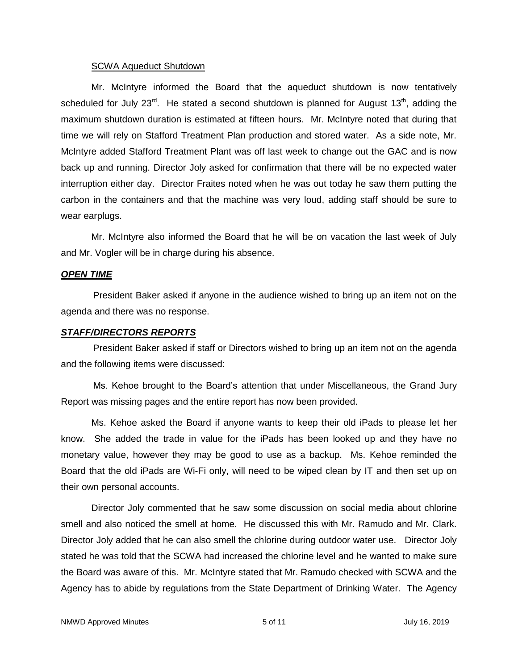### SCWA Aqueduct Shutdown

Mr. McIntyre informed the Board that the aqueduct shutdown is now tentatively scheduled for July 23 $^{rd}$ . He stated a second shutdown is planned for August 13<sup>th</sup>, adding the maximum shutdown duration is estimated at fifteen hours. Mr. McIntyre noted that during that time we will rely on Stafford Treatment Plan production and stored water. As a side note, Mr. McIntyre added Stafford Treatment Plant was off last week to change out the GAC and is now back up and running. Director Joly asked for confirmation that there will be no expected water interruption either day. Director Fraites noted when he was out today he saw them putting the carbon in the containers and that the machine was very loud, adding staff should be sure to wear earplugs.

Mr. McIntyre also informed the Board that he will be on vacation the last week of July and Mr. Vogler will be in charge during his absence.

# *OPEN TIME*

President Baker asked if anyone in the audience wished to bring up an item not on the agenda and there was no response.

### *STAFF/DIRECTORS REPORTS*

President Baker asked if staff or Directors wished to bring up an item not on the agenda and the following items were discussed:

Ms. Kehoe brought to the Board's attention that under Miscellaneous, the Grand Jury Report was missing pages and the entire report has now been provided.

Ms. Kehoe asked the Board if anyone wants to keep their old iPads to please let her know. She added the trade in value for the iPads has been looked up and they have no monetary value, however they may be good to use as a backup. Ms. Kehoe reminded the Board that the old iPads are Wi-Fi only, will need to be wiped clean by IT and then set up on their own personal accounts.

Director Joly commented that he saw some discussion on social media about chlorine smell and also noticed the smell at home. He discussed this with Mr. Ramudo and Mr. Clark. Director Joly added that he can also smell the chlorine during outdoor water use. Director Joly stated he was told that the SCWA had increased the chlorine level and he wanted to make sure the Board was aware of this. Mr. McIntyre stated that Mr. Ramudo checked with SCWA and the Agency has to abide by regulations from the State Department of Drinking Water. The Agency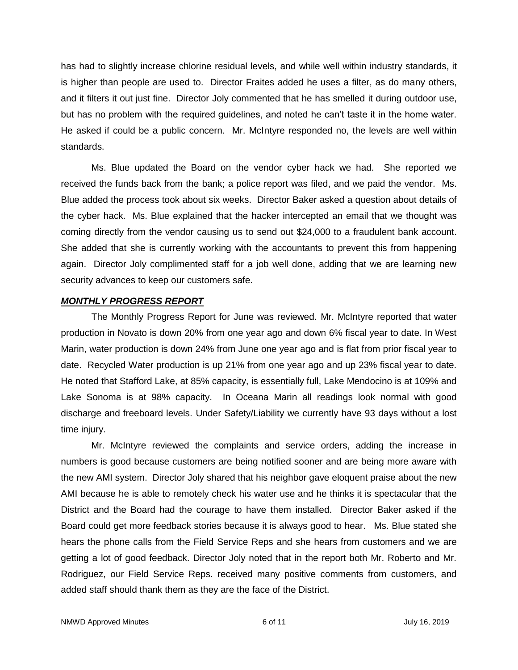has had to slightly increase chlorine residual levels, and while well within industry standards, it is higher than people are used to. Director Fraites added he uses a filter, as do many others, and it filters it out just fine. Director Joly commented that he has smelled it during outdoor use, but has no problem with the required guidelines, and noted he can't taste it in the home water. He asked if could be a public concern. Mr. McIntyre responded no, the levels are well within standards.

Ms. Blue updated the Board on the vendor cyber hack we had. She reported we received the funds back from the bank; a police report was filed, and we paid the vendor. Ms. Blue added the process took about six weeks. Director Baker asked a question about details of the cyber hack. Ms. Blue explained that the hacker intercepted an email that we thought was coming directly from the vendor causing us to send out \$24,000 to a fraudulent bank account. She added that she is currently working with the accountants to prevent this from happening again. Director Joly complimented staff for a job well done, adding that we are learning new security advances to keep our customers safe.

### *MONTHLY PROGRESS REPORT*

The Monthly Progress Report for June was reviewed. Mr. McIntyre reported that water production in Novato is down 20% from one year ago and down 6% fiscal year to date. In West Marin, water production is down 24% from June one year ago and is flat from prior fiscal year to date. Recycled Water production is up 21% from one year ago and up 23% fiscal year to date. He noted that Stafford Lake, at 85% capacity, is essentially full, Lake Mendocino is at 109% and Lake Sonoma is at 98% capacity. In Oceana Marin all readings look normal with good discharge and freeboard levels. Under Safety/Liability we currently have 93 days without a lost time injury.

Mr. McIntyre reviewed the complaints and service orders, adding the increase in numbers is good because customers are being notified sooner and are being more aware with the new AMI system. Director Joly shared that his neighbor gave eloquent praise about the new AMI because he is able to remotely check his water use and he thinks it is spectacular that the District and the Board had the courage to have them installed. Director Baker asked if the Board could get more feedback stories because it is always good to hear. Ms. Blue stated she hears the phone calls from the Field Service Reps and she hears from customers and we are getting a lot of good feedback. Director Joly noted that in the report both Mr. Roberto and Mr. Rodriguez, our Field Service Reps. received many positive comments from customers, and added staff should thank them as they are the face of the District.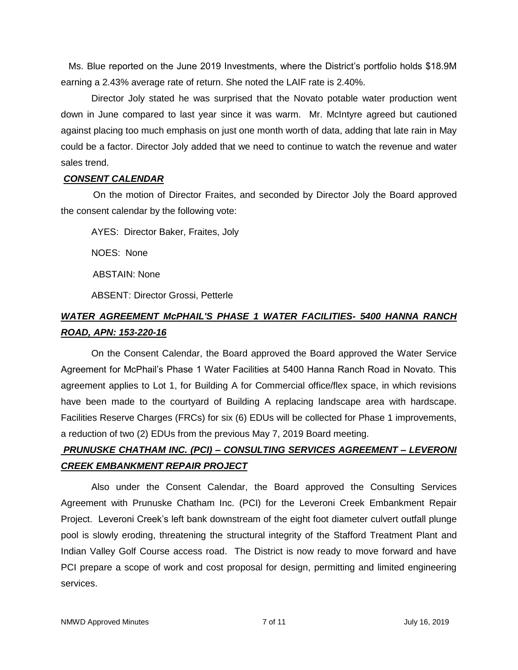Ms. Blue reported on the June 2019 Investments, where the District's portfolio holds \$18.9M earning a 2.43% average rate of return. She noted the LAIF rate is 2.40%.

Director Joly stated he was surprised that the Novato potable water production went down in June compared to last year since it was warm. Mr. McIntyre agreed but cautioned against placing too much emphasis on just one month worth of data, adding that late rain in May could be a factor. Director Joly added that we need to continue to watch the revenue and water sales trend.

# *CONSENT CALENDAR*

On the motion of Director Fraites, and seconded by Director Joly the Board approved the consent calendar by the following vote:

AYES: Director Baker, Fraites, Joly

NOES: None

ABSTAIN: None

ABSENT: Director Grossi, Petterle

# *WATER AGREEMENT McPHAIL'S PHASE 1 WATER FACILITIES- 5400 HANNA RANCH ROAD, APN: 153-220-16*

On the Consent Calendar, the Board approved the Board approved the Water Service Agreement for McPhail's Phase 1 Water Facilities at 5400 Hanna Ranch Road in Novato. This agreement applies to Lot 1, for Building A for Commercial office/flex space, in which revisions have been made to the courtyard of Building A replacing landscape area with hardscape. Facilities Reserve Charges (FRCs) for six (6) EDUs will be collected for Phase 1 improvements, a reduction of two (2) EDUs from the previous May 7, 2019 Board meeting.

# *PRUNUSKE CHATHAM INC. (PCI) – CONSULTING SERVICES AGREEMENT – LEVERONI CREEK EMBANKMENT REPAIR PROJECT*

Also under the Consent Calendar, the Board approved the Consulting Services Agreement with Prunuske Chatham Inc. (PCI) for the Leveroni Creek Embankment Repair Project. Leveroni Creek's left bank downstream of the eight foot diameter culvert outfall plunge pool is slowly eroding, threatening the structural integrity of the Stafford Treatment Plant and Indian Valley Golf Course access road. The District is now ready to move forward and have PCI prepare a scope of work and cost proposal for design, permitting and limited engineering services.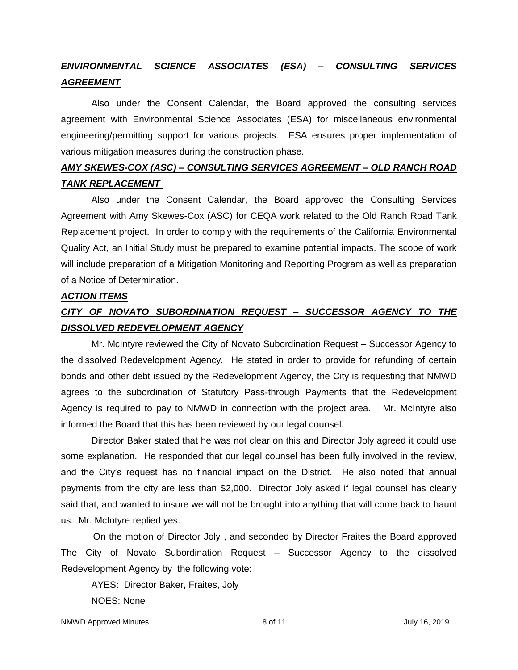# *ENVIRONMENTAL SCIENCE ASSOCIATES (ESA) – CONSULTING SERVICES AGREEMENT*

Also under the Consent Calendar, the Board approved the consulting services agreement with Environmental Science Associates (ESA) for miscellaneous environmental engineering/permitting support for various projects. ESA ensures proper implementation of various mitigation measures during the construction phase.

# *AMY SKEWES-COX (ASC) – CONSULTING SERVICES AGREEMENT – OLD RANCH ROAD TANK REPLACEMENT*

Also under the Consent Calendar, the Board approved the Consulting Services Agreement with Amy Skewes-Cox (ASC) for CEQA work related to the Old Ranch Road Tank Replacement project. In order to comply with the requirements of the California Environmental Quality Act, an Initial Study must be prepared to examine potential impacts. The scope of work will include preparation of a Mitigation Monitoring and Reporting Program as well as preparation of a Notice of Determination.

### *ACTION ITEMS*

# *CITY OF NOVATO SUBORDINATION REQUEST – SUCCESSOR AGENCY TO THE DISSOLVED REDEVELOPMENT AGENCY*

Mr. McIntyre reviewed the City of Novato Subordination Request – Successor Agency to the dissolved Redevelopment Agency. He stated in order to provide for refunding of certain bonds and other debt issued by the Redevelopment Agency, the City is requesting that NMWD agrees to the subordination of Statutory Pass-through Payments that the Redevelopment Agency is required to pay to NMWD in connection with the project area. Mr. McIntyre also informed the Board that this has been reviewed by our legal counsel.

Director Baker stated that he was not clear on this and Director Joly agreed it could use some explanation. He responded that our legal counsel has been fully involved in the review, and the City's request has no financial impact on the District. He also noted that annual payments from the city are less than \$2,000. Director Joly asked if legal counsel has clearly said that, and wanted to insure we will not be brought into anything that will come back to haunt us. Mr. McIntyre replied yes.

On the motion of Director Joly , and seconded by Director Fraites the Board approved The City of Novato Subordination Request – Successor Agency to the dissolved Redevelopment Agency by the following vote:

AYES: Director Baker, Fraites, Joly NOES: None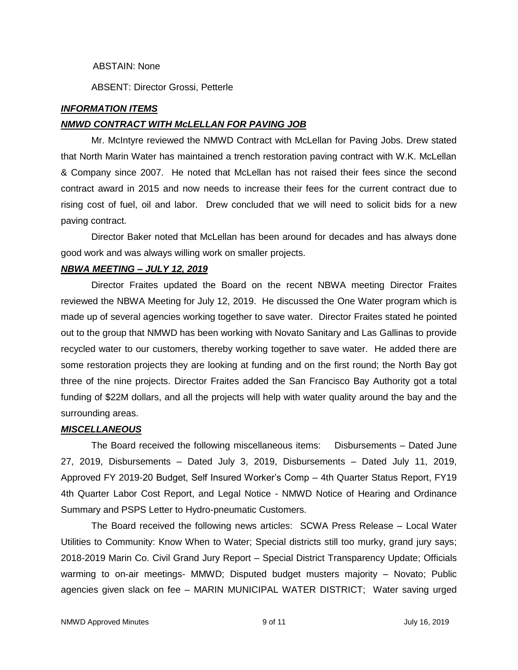### ABSTAIN: None

ABSENT: Director Grossi, Petterle

### *INFORMATION ITEMS*

### *NMWD CONTRACT WITH McLELLAN FOR PAVING JOB*

Mr. McIntyre reviewed the NMWD Contract with McLellan for Paving Jobs. Drew stated that North Marin Water has maintained a trench restoration paving contract with W.K. McLellan & Company since 2007. He noted that McLellan has not raised their fees since the second contract award in 2015 and now needs to increase their fees for the current contract due to rising cost of fuel, oil and labor. Drew concluded that we will need to solicit bids for a new paving contract.

Director Baker noted that McLellan has been around for decades and has always done good work and was always willing work on smaller projects.

### *NBWA MEETING – JULY 12, 2019*

Director Fraites updated the Board on the recent NBWA meeting Director Fraites reviewed the NBWA Meeting for July 12, 2019. He discussed the One Water program which is made up of several agencies working together to save water. Director Fraites stated he pointed out to the group that NMWD has been working with Novato Sanitary and Las Gallinas to provide recycled water to our customers, thereby working together to save water. He added there are some restoration projects they are looking at funding and on the first round; the North Bay got three of the nine projects. Director Fraites added the San Francisco Bay Authority got a total funding of \$22M dollars, and all the projects will help with water quality around the bay and the surrounding areas.

### *MISCELLANEOUS*

The Board received the following miscellaneous items: Disbursements – Dated June 27, 2019, Disbursements – Dated July 3, 2019, Disbursements – Dated July 11, 2019, Approved FY 2019-20 Budget, Self Insured Worker's Comp – 4th Quarter Status Report, FY19 4th Quarter Labor Cost Report, and Legal Notice - NMWD Notice of Hearing and Ordinance Summary and PSPS Letter to Hydro-pneumatic Customers.

The Board received the following news articles: SCWA Press Release – Local Water Utilities to Community: Know When to Water; Special districts still too murky, grand jury says; 2018-2019 Marin Co. Civil Grand Jury Report – Special District Transparency Update; Officials warming to on-air meetings- MMWD; Disputed budget musters majority – Novato; Public agencies given slack on fee – MARIN MUNICIPAL WATER DISTRICT; Water saving urged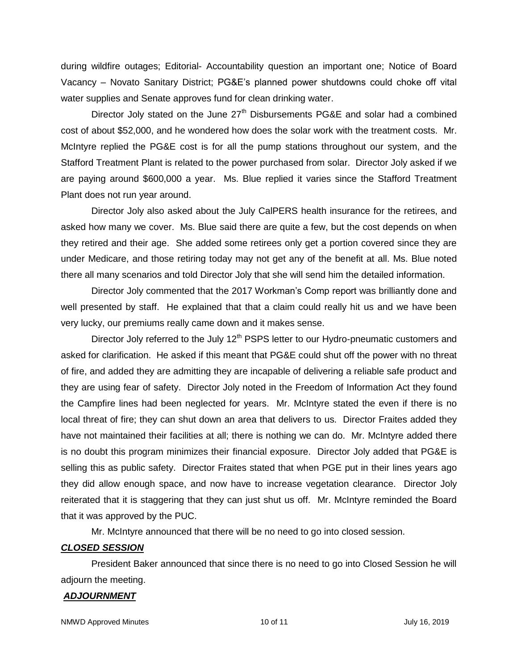during wildfire outages; Editorial- Accountability question an important one; Notice of Board Vacancy – Novato Sanitary District; PG&E's planned power shutdowns could choke off vital water supplies and Senate approves fund for clean drinking water.

Director Joly stated on the June  $27<sup>th</sup>$  Disbursements PG&E and solar had a combined cost of about \$52,000, and he wondered how does the solar work with the treatment costs. Mr. McIntyre replied the PG&E cost is for all the pump stations throughout our system, and the Stafford Treatment Plant is related to the power purchased from solar. Director Joly asked if we are paying around \$600,000 a year. Ms. Blue replied it varies since the Stafford Treatment Plant does not run year around.

Director Joly also asked about the July CalPERS health insurance for the retirees, and asked how many we cover. Ms. Blue said there are quite a few, but the cost depends on when they retired and their age. She added some retirees only get a portion covered since they are under Medicare, and those retiring today may not get any of the benefit at all. Ms. Blue noted there all many scenarios and told Director Joly that she will send him the detailed information.

Director Joly commented that the 2017 Workman's Comp report was brilliantly done and well presented by staff. He explained that that a claim could really hit us and we have been very lucky, our premiums really came down and it makes sense.

Director Joly referred to the July  $12<sup>th</sup>$  PSPS letter to our Hydro-pneumatic customers and asked for clarification. He asked if this meant that PG&E could shut off the power with no threat of fire, and added they are admitting they are incapable of delivering a reliable safe product and they are using fear of safety. Director Joly noted in the Freedom of Information Act they found the Campfire lines had been neglected for years. Mr. McIntyre stated the even if there is no local threat of fire; they can shut down an area that delivers to us. Director Fraites added they have not maintained their facilities at all; there is nothing we can do. Mr. McIntyre added there is no doubt this program minimizes their financial exposure. Director Joly added that PG&E is selling this as public safety. Director Fraites stated that when PGE put in their lines years ago they did allow enough space, and now have to increase vegetation clearance. Director Joly reiterated that it is staggering that they can just shut us off. Mr. McIntyre reminded the Board that it was approved by the PUC.

Mr. McIntyre announced that there will be no need to go into closed session.

# *CLOSED SESSION*

President Baker announced that since there is no need to go into Closed Session he will adjourn the meeting.

### *ADJOURNMENT*

NMWD Approved Minutes and the control of the 10 of 11 and 10 of 11 and 10 of 11 and 10 of 11 and 10 of 11 and 10 of 11 and 10 of 11 and 10 of 11 and 10 of 11 and 10 of 11 and 10 of 11 and 10 of 11 and 10 of 11 and 10 of 11